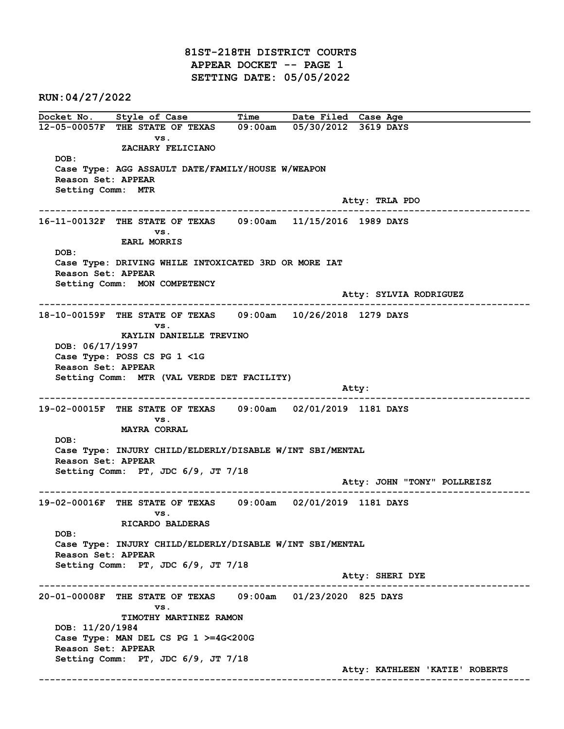81ST-218TH DISTRICT COURTS APPEAR DOCKET -- PAGE 1 SETTING DATE: 05/05/2022

RUN:04/27/2022

Docket No. Style of Case Time Date Filed Case Age 12-05-00057F THE STATE OF TEXAS 09:00am 05/30/2012 3619 DAYS vs. ZACHARY FELICIANO DOB: Case Type: AGG ASSAULT DATE/FAMILY/HOUSE W/WEAPON Reason Set: APPEAR Setting Comm: MTR Atty: TRLA PDO ------------------------------------------------------------------------------------------------------------------------ 16-11-00132F THE STATE OF TEXAS 09:00am 11/15/2016 1989 DAYS vs. EARL MORRIS DOB: Case Type: DRIVING WHILE INTOXICATED 3RD OR MORE IAT Reason Set: APPEAR Setting Comm: MON COMPETENCY Atty: SYLVIA RODRIGUEZ ------------------------------------------------------------------------------------------------------------------------ 18-10-00159F THE STATE OF TEXAS 09:00am 10/26/2018 1279 DAYS vs. KAYLIN DANIELLE TREVINO DOB: 06/17/1997 Case Type: POSS CS PG 1 <1G Reason Set: APPEAR Setting Comm: MTR (VAL VERDE DET FACILITY) and the control of the control of the control of the control of the control of the control of the control of the control of the control of the control of the control of the control of the control of the control of the cont ------------------------------------------------------------------------------------------------------------------------ 19-02-00015F THE STATE OF TEXAS 09:00am 02/01/2019 1181 DAYS vs. MAYRA CORRAL DOB: Case Type: INJURY CHILD/ELDERLY/DISABLE W/INT SBI/MENTAL Reason Set: APPEAR Setting Comm: PT, JDC 6/9, JT 7/18 Atty: JOHN "TONY" POLLREISZ ------------------------------------------------------------------------------------------------------------------------ 19-02-00016F THE STATE OF TEXAS 09:00am 02/01/2019 1181 DAYS vs. RICARDO BALDERAS DOB: Case Type: INJURY CHILD/ELDERLY/DISABLE W/INT SBI/MENTAL Reason Set: APPEAR Setting Comm: PT, JDC 6/9, JT 7/18 Atty: SHERI DYE ------------------------------------------------------------------------------------------------------------------------ 20-01-00008F THE STATE OF TEXAS 09:00am 01/23/2020 825 DAYS vs. TIMOTHY MARTINEZ RAMON DOB: 11/20/1984 Case Type: MAN DEL CS PG 1 >=4G<200G Reason Set: APPEAR Setting Comm: PT, JDC 6/9, JT 7/18 Atty: KATHLEEN 'KATIE' ROBERTS ------------------------------------------------------------------------------------------------------------------------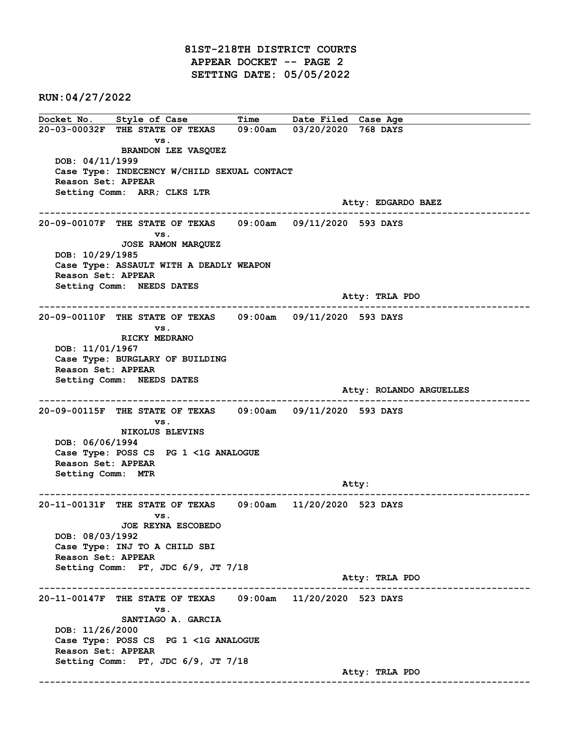81ST-218TH DISTRICT COURTS APPEAR DOCKET -- PAGE 2 SETTING DATE: 05/05/2022

RUN:04/27/2022

Docket No. Style of Case Time Date Filed Case Age 20-03-00032F THE STATE OF TEXAS 09:00am 03/20/2020 768 DAYS vs. BRANDON LEE VASQUEZ DOB: 04/11/1999 Case Type: INDECENCY W/CHILD SEXUAL CONTACT Reason Set: APPEAR Setting Comm: ARR; CLKS LTR Atty: EDGARDO BAEZ ------------------------------------------------------------------------------------------------------------------------ 20-09-00107F THE STATE OF TEXAS 09:00am 09/11/2020 593 DAYS vs. JOSE RAMON MARQUEZ DOB: 10/29/1985 Case Type: ASSAULT WITH A DEADLY WEAPON Reason Set: APPEAR Setting Comm: NEEDS DATES Atty: TRLA PDO ------------------------------------------------------------------------------------------------------------------------ 20-09-00110F THE STATE OF TEXAS 09:00am 09/11/2020 593 DAYS vs. RICKY MEDRANO DOB: 11/01/1967 Case Type: BURGLARY OF BUILDING Reason Set: APPEAR Setting Comm: NEEDS DATES Atty: ROLANDO ARGUELLES ------------------------------------------------------------------------------------------------------------------------ 20-09-00115F THE STATE OF TEXAS 09:00am 09/11/2020 593 DAYS vs. NIKOLUS BLEVINS DOB: 06/06/1994 Case Type: POSS CS PG 1 <1G ANALOGUE Reason Set: APPEAR Setting Comm: MTR example of the contract of the contract of the contract of the contract of the contract of the contract of the contract of the contract of the contract of the contract of the contract of the contract of the contract of the ------------------------------------------------------------------------------------------------------------------------ 20-11-00131F THE STATE OF TEXAS 09:00am 11/20/2020 523 DAYS vs. JOE REYNA ESCOBEDO DOB: 08/03/1992 Case Type: INJ TO A CHILD SBI Reason Set: APPEAR Setting Comm: PT, JDC 6/9, JT 7/18 Atty: TRLA PDO ------------------------------------------------------------------------------------------------------------------------ 20-11-00147F THE STATE OF TEXAS 09:00am 11/20/2020 523 DAYS vs. SANTIAGO A. GARCIA DOB: 11/26/2000 Case Type: POSS CS PG 1 <1G ANALOGUE Reason Set: APPEAR Setting Comm: PT, JDC 6/9, JT 7/18 Atty: TRLA PDO ------------------------------------------------------------------------------------------------------------------------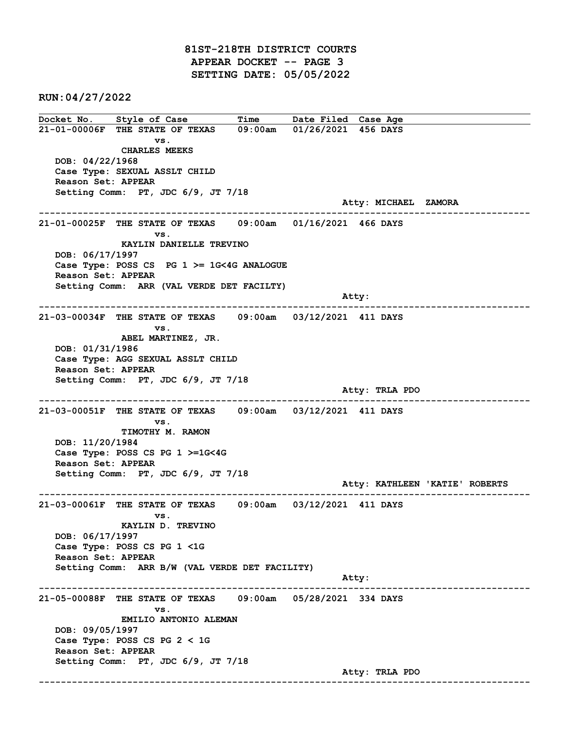81ST-218TH DISTRICT COURTS APPEAR DOCKET -- PAGE 3 SETTING DATE: 05/05/2022

RUN:04/27/2022

Docket No. Style of Case Time Date Filed Case Age 21-01-00006F THE STATE OF TEXAS 09:00am 01/26/2021 456 DAYS vs. CHARLES MEEKS DOB: 04/22/1968 Case Type: SEXUAL ASSLT CHILD Reason Set: APPEAR Setting Comm: PT, JDC 6/9, JT 7/18 Atty: MICHAEL ZAMORA ------------------------------------------------------------------------------------------------------------------------ 21-01-00025F THE STATE OF TEXAS 09:00am 01/16/2021 466 DAYS vs. KAYLIN DANIELLE TREVINO DOB: 06/17/1997 Case Type: POSS CS PG 1 >= 1G<4G ANALOGUE Reason Set: APPEAR Setting Comm: ARR (VAL VERDE DET FACILTY) Atty: ------------------------------------------------------------------------------------------------------------------------ 21-03-00034F THE STATE OF TEXAS 09:00am 03/12/2021 411 DAYS vs. ABEL MARTINEZ, JR. DOB: 01/31/1986 Case Type: AGG SEXUAL ASSLT CHILD Reason Set: APPEAR Setting Comm: PT, JDC 6/9, JT 7/18 Atty: TRLA PDO ------------------------------------------------------------------------------------------------------------------------ 21-03-00051F THE STATE OF TEXAS 09:00am 03/12/2021 411 DAYS vs. TIMOTHY M. RAMON DOB: 11/20/1984 Case Type: POSS CS PG 1 >=1G<4G Reason Set: APPEAR Setting Comm: PT, JDC 6/9, JT 7/18 Atty: KATHLEEN 'KATIE' ROBERTS ------------------------------------------------------------------------------------------------------------------------ 21-03-00061F THE STATE OF TEXAS 09:00am 03/12/2021 411 DAYS vs. KAYLIN D. TREVINO DOB: 06/17/1997 Case Type: POSS CS PG 1 <1G Reason Set: APPEAR Setting Comm: ARR B/W (VAL VERDE DET FACILITY) Atty: ------------------------------------------------------------------------------------------------------------------------ 21-05-00088F THE STATE OF TEXAS 09:00am 05/28/2021 334 DAYS vs. EMILIO ANTONIO ALEMAN DOB: 09/05/1997 Case Type: POSS CS PG 2 < 1G Reason Set: APPEAR Setting Comm: PT, JDC 6/9, JT 7/18 Atty: TRLA PDO ------------------------------------------------------------------------------------------------------------------------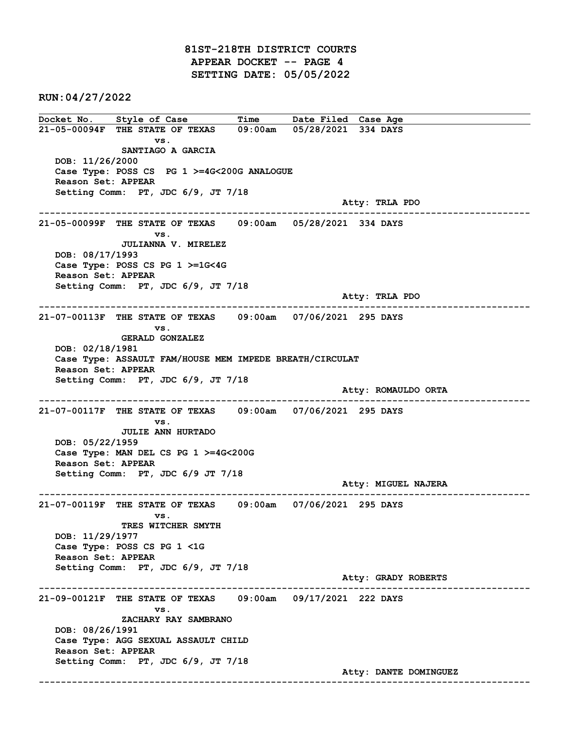81ST-218TH DISTRICT COURTS APPEAR DOCKET -- PAGE 4 SETTING DATE: 05/05/2022

RUN:04/27/2022

Docket No. Style of Case Time Date Filed Case Age 21-05-00094F THE STATE OF TEXAS 09:00am 05/28/2021 334 DAYS vs. SANTIAGO A GARCIA DOB: 11/26/2000 Case Type: POSS CS PG 1 >=4G<200G ANALOGUE Reason Set: APPEAR Setting Comm: PT, JDC 6/9, JT 7/18 Atty: TRLA PDO ------------------------------------------------------------------------------------------------------------------------ 21-05-00099F THE STATE OF TEXAS 09:00am 05/28/2021 334 DAYS vs. JULIANNA V. MIRELEZ DOB: 08/17/1993 Case Type: POSS CS PG 1 >=1G<4G Reason Set: APPEAR Setting Comm: PT, JDC 6/9, JT 7/18 Atty: TRLA PDO ------------------------------------------------------------------------------------------------------------------------ 21-07-00113F THE STATE OF TEXAS 09:00am 07/06/2021 295 DAYS vs. GERALD GONZALEZ DOB: 02/18/1981 Case Type: ASSAULT FAM/HOUSE MEM IMPEDE BREATH/CIRCULAT Reason Set: APPEAR Setting Comm: PT, JDC 6/9, JT 7/18 Atty: ROMAULDO ORTA ------------------------------------------------------------------------------------------------------------------------ 21-07-00117F THE STATE OF TEXAS 09:00am 07/06/2021 295 DAYS vs. JULIE ANN HURTADO DOB: 05/22/1959 Case Type: MAN DEL CS PG 1 >=4G<200G Reason Set: APPEAR Setting Comm: PT, JDC 6/9 JT 7/18 Atty: MIGUEL NAJERA ------------------------------------------------------------------------------------------------------------------------ 21-07-00119F THE STATE OF TEXAS 09:00am 07/06/2021 295 DAYS vs. TRES WITCHER SMYTH DOB: 11/29/1977 Case Type: POSS CS PG 1 <1G Reason Set: APPEAR Setting Comm: PT, JDC 6/9, JT 7/18 Atty: GRADY ROBERTS ------------------------------------------------------------------------------------------------------------------------ 21-09-00121F THE STATE OF TEXAS 09:00am 09/17/2021 222 DAYS vs. ZACHARY RAY SAMBRANO DOB: 08/26/1991 Case Type: AGG SEXUAL ASSAULT CHILD Reason Set: APPEAR Setting Comm: PT, JDC 6/9, JT 7/18 Atty: DANTE DOMINGUEZ ------------------------------------------------------------------------------------------------------------------------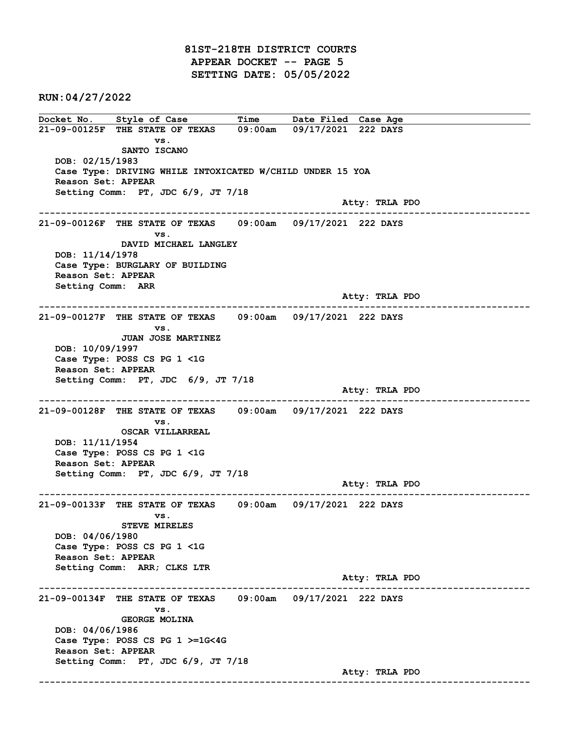81ST-218TH DISTRICT COURTS APPEAR DOCKET -- PAGE 5 SETTING DATE: 05/05/2022

RUN:04/27/2022

Docket No. Style of Case Time Date Filed Case Age 21-09-00125F THE STATE OF TEXAS 09:00am 09/17/2021 222 DAYS vs. SANTO ISCANO DOB: 02/15/1983 Case Type: DRIVING WHILE INTOXICATED W/CHILD UNDER 15 YOA Reason Set: APPEAR Setting Comm: PT, JDC 6/9, JT 7/18 Atty: TRLA PDO ------------------------------------------------------------------------------------------------------------------------ 21-09-00126F THE STATE OF TEXAS 09:00am 09/17/2021 222 DAYS vs. DAVID MICHAEL LANGLEY DOB: 11/14/1978 Case Type: BURGLARY OF BUILDING Reason Set: APPEAR Setting Comm: ARR Atty: TRLA PDO ------------------------------------------------------------------------------------------------------------------------ 21-09-00127F THE STATE OF TEXAS 09:00am 09/17/2021 222 DAYS vs. JUAN JOSE MARTINEZ DOB: 10/09/1997 Case Type: POSS CS PG 1 <1G Reason Set: APPEAR Setting Comm: PT, JDC 6/9, JT 7/18 Atty: TRLA PDO ------------------------------------------------------------------------------------------------------------------------ 21-09-00128F THE STATE OF TEXAS 09:00am 09/17/2021 222 DAYS vs. OSCAR VILLARREAL DOB: 11/11/1954 Case Type: POSS CS PG 1 <1G Reason Set: APPEAR Setting Comm: PT, JDC 6/9, JT 7/18 Atty: TRLA PDO ------------------------------------------------------------------------------------------------------------------------ 21-09-00133F THE STATE OF TEXAS 09:00am 09/17/2021 222 DAYS vs. STEVE MIRELES DOB: 04/06/1980 Case Type: POSS CS PG 1 <1G Reason Set: APPEAR Setting Comm: ARR; CLKS LTR Atty: TRLA PDO ------------------------------------------------------------------------------------------------------------------------ 21-09-00134F THE STATE OF TEXAS 09:00am 09/17/2021 222 DAYS vs. GEORGE MOLINA DOB: 04/06/1986 Case Type: POSS CS PG 1 >=1G<4G Reason Set: APPEAR Setting Comm: PT, JDC 6/9, JT 7/18 Atty: TRLA PDO ------------------------------------------------------------------------------------------------------------------------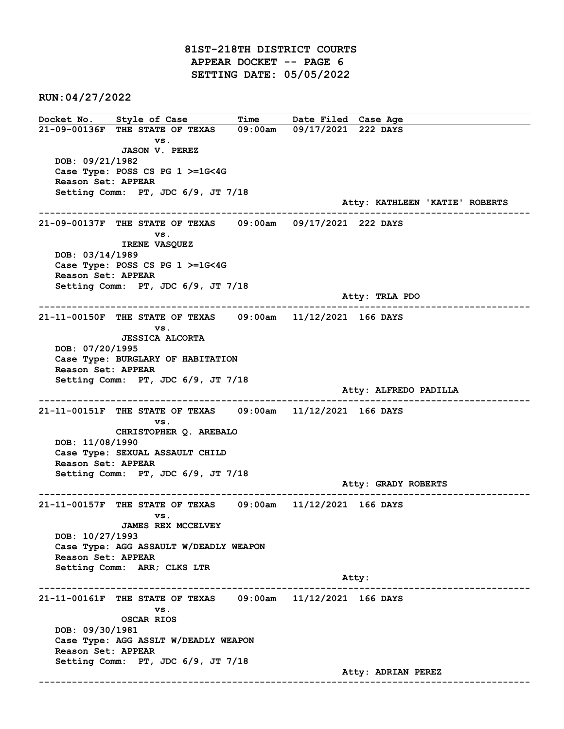81ST-218TH DISTRICT COURTS APPEAR DOCKET -- PAGE 6 SETTING DATE: 05/05/2022

RUN:04/27/2022

Docket No. Style of Case Time Date Filed Case Age 21-09-00136F THE STATE OF TEXAS 09:00am 09/17/2021 222 DAYS vs. JASON V. PEREZ DOB: 09/21/1982 Case Type: POSS CS PG 1 >=1G<4G Reason Set: APPEAR Setting Comm: PT, JDC 6/9, JT 7/18 Atty: KATHLEEN 'KATIE' ROBERTS ------------------------------------------------------------------------------------------------------------------------ 21-09-00137F THE STATE OF TEXAS 09:00am 09/17/2021 222 DAYS vs. IRENE VASQUEZ DOB: 03/14/1989 Case Type: POSS CS PG 1 >=1G<4G Reason Set: APPEAR Setting Comm: PT, JDC 6/9, JT 7/18 Atty: TRLA PDO ------------------------------------------------------------------------------------------------------------------------ 21-11-00150F THE STATE OF TEXAS 09:00am 11/12/2021 166 DAYS vs. JESSICA ALCORTA DOB: 07/20/1995 Case Type: BURGLARY OF HABITATION Reason Set: APPEAR Setting Comm: PT, JDC 6/9, JT 7/18 Atty: ALFREDO PADILLA ------------------------------------------------------------------------------------------------------------------------ 21-11-00151F THE STATE OF TEXAS 09:00am 11/12/2021 166 DAYS vs. CHRISTOPHER Q. AREBALO DOB: 11/08/1990 Case Type: SEXUAL ASSAULT CHILD Reason Set: APPEAR Setting Comm: PT, JDC 6/9, JT 7/18 Atty: GRADY ROBERTS ------------------------------------------------------------------------------------------------------------------------ 21-11-00157F THE STATE OF TEXAS 09:00am 11/12/2021 166 DAYS vs. JAMES REX MCCELVEY DOB: 10/27/1993 Case Type: AGG ASSAULT W/DEADLY WEAPON Reason Set: APPEAR Setting Comm: ARR; CLKS LTR Atty: ------------------------------------------------------------------------------------------------------------------------ 21-11-00161F THE STATE OF TEXAS 09:00am 11/12/2021 166 DAYS vs. OSCAR RIOS DOB: 09/30/1981 Case Type: AGG ASSLT W/DEADLY WEAPON Reason Set: APPEAR Setting Comm: PT, JDC 6/9, JT 7/18 Atty: ADRIAN PEREZ ------------------------------------------------------------------------------------------------------------------------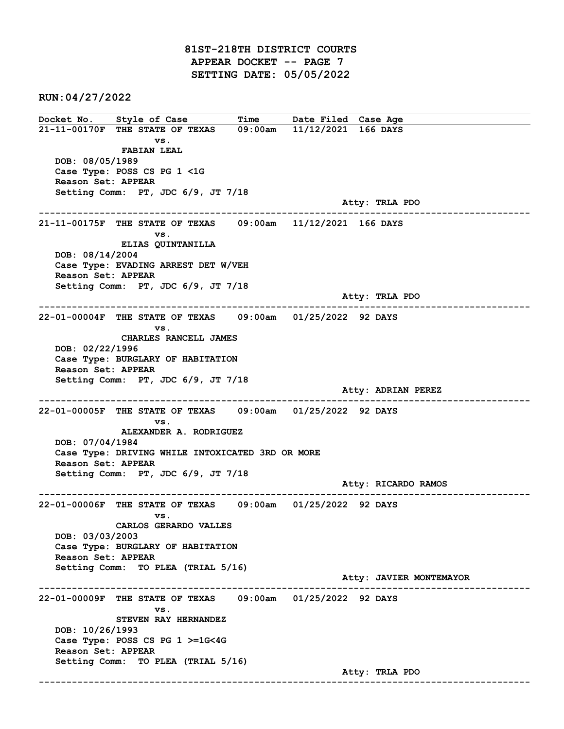81ST-218TH DISTRICT COURTS APPEAR DOCKET -- PAGE 7 SETTING DATE: 05/05/2022

RUN:04/27/2022

Docket No. Style of Case Time Date Filed Case Age 21-11-00170F THE STATE OF TEXAS 09:00am 11/12/2021 166 DAYS vs. FABIAN LEAL DOB: 08/05/1989 Case Type: POSS CS PG 1 <1G Reason Set: APPEAR Setting Comm: PT, JDC 6/9, JT 7/18 Atty: TRLA PDO ------------------------------------------------------------------------------------------------------------------------ 21-11-00175F THE STATE OF TEXAS 09:00am 11/12/2021 166 DAYS vs. ELIAS QUINTANILLA DOB: 08/14/2004 Case Type: EVADING ARREST DET W/VEH Reason Set: APPEAR Setting Comm: PT, JDC 6/9, JT 7/18 Atty: TRLA PDO ------------------------------------------------------------------------------------------------------------------------ 22-01-00004F THE STATE OF TEXAS 09:00am 01/25/2022 92 DAYS vs. CHARLES RANCELL JAMES DOB: 02/22/1996 Case Type: BURGLARY OF HABITATION Reason Set: APPEAR Setting Comm: PT, JDC 6/9, JT 7/18 Atty: ADRIAN PEREZ ------------------------------------------------------------------------------------------------------------------------ 22-01-00005F THE STATE OF TEXAS 09:00am 01/25/2022 92 DAYS vs. ALEXANDER A. RODRIGUEZ DOB: 07/04/1984 Case Type: DRIVING WHILE INTOXICATED 3RD OR MORE Reason Set: APPEAR Setting Comm: PT, JDC 6/9, JT 7/18 Atty: RICARDO RAMOS ------------------------------------------------------------------------------------------------------------------------ 22-01-00006F THE STATE OF TEXAS 09:00am 01/25/2022 92 DAYS vs. CARLOS GERARDO VALLES DOB: 03/03/2003 Case Type: BURGLARY OF HABITATION Reason Set: APPEAR Setting Comm: TO PLEA (TRIAL 5/16) Atty: JAVIER MONTEMAYOR ------------------------------------------------------------------------------------------------------------------------ 22-01-00009F THE STATE OF TEXAS 09:00am 01/25/2022 92 DAYS vs. STEVEN RAY HERNANDEZ DOB: 10/26/1993 Case Type: POSS CS PG 1 >=1G<4G Reason Set: APPEAR Setting Comm: TO PLEA (TRIAL 5/16) Atty: TRLA PDO ------------------------------------------------------------------------------------------------------------------------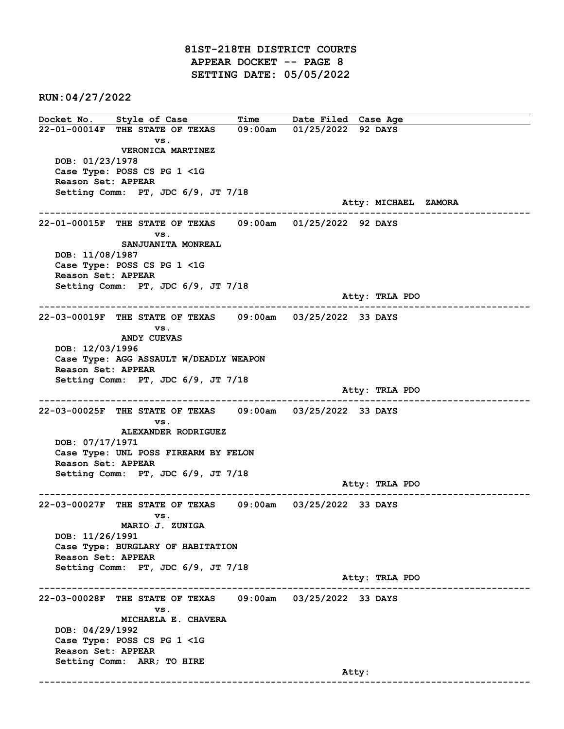81ST-218TH DISTRICT COURTS APPEAR DOCKET -- PAGE 8 SETTING DATE: 05/05/2022

RUN:04/27/2022

Docket No. Style of Case Time Date Filed Case Age 22-01-00014F THE STATE OF TEXAS 09:00am 01/25/2022 92 DAYS vs. VERONICA MARTINEZ DOB: 01/23/1978 Case Type: POSS CS PG 1 <1G Reason Set: APPEAR Setting Comm: PT, JDC 6/9, JT 7/18 Atty: MICHAEL ZAMORA ------------------------------------------------------------------------------------------------------------------------ 22-01-00015F THE STATE OF TEXAS 09:00am 01/25/2022 92 DAYS vs. SANJUANITA MONREAL DOB: 11/08/1987 Case Type: POSS CS PG 1 <1G Reason Set: APPEAR Setting Comm: PT, JDC 6/9, JT 7/18 Atty: TRLA PDO ------------------------------------------------------------------------------------------------------------------------ 22-03-00019F THE STATE OF TEXAS 09:00am 03/25/2022 33 DAYS vs. ANDY CUEVAS DOB: 12/03/1996 Case Type: AGG ASSAULT W/DEADLY WEAPON Reason Set: APPEAR Setting Comm: PT, JDC 6/9, JT 7/18 Atty: TRLA PDO ------------------------------------------------------------------------------------------------------------------------ 22-03-00025F THE STATE OF TEXAS 09:00am 03/25/2022 33 DAYS vs. ALEXANDER RODRIGUEZ DOB: 07/17/1971 Case Type: UNL POSS FIREARM BY FELON Reason Set: APPEAR Setting Comm: PT, JDC 6/9, JT 7/18 Atty: TRLA PDO ------------------------------------------------------------------------------------------------------------------------ 22-03-00027F THE STATE OF TEXAS 09:00am 03/25/2022 33 DAYS vs. MARIO J. ZUNIGA DOB: 11/26/1991 Case Type: BURGLARY OF HABITATION Reason Set: APPEAR Setting Comm: PT, JDC 6/9, JT 7/18 Atty: TRLA PDO ------------------------------------------------------------------------------------------------------------------------ 22-03-00028F THE STATE OF TEXAS 09:00am 03/25/2022 33 DAYS vs. MICHAELA E. CHAVERA DOB: 04/29/1992 Case Type: POSS CS PG 1 <1G Reason Set: APPEAR Setting Comm: ARR; TO HIRE and the control of the control of the control of the control of the control of the control of the control of the control of the control of the control of the control of the control of the control of the control of the cont ------------------------------------------------------------------------------------------------------------------------